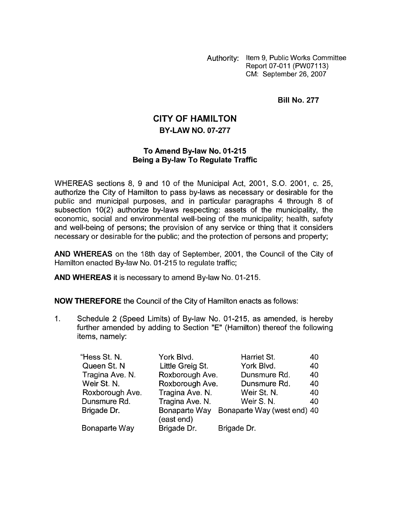Authority: Item 9, Public Works Committee Report 07-011 (PW07113) CM: September 26,2007

**Bill No. 277** 

## **CITY OF HAMILTON BY-LAW NO. 07-277**

## **To Amend By-law No. 01-215 Being a Bylaw To Regulate Traffic**

WHEREAS sections 8, 9 and 10 of the Municipal Act, 2001, S.O. 2001, c. 25, authorize the City of Hamilton to pass by-laws as necessary or desirable for the public and municipal purposes, and in particular paragraphs 4 through 8 of subsection 10(2) authorize by-laws respecting: assets of the municipality, the economic, social and environmental well-being of the municipality; health, safety and well-being of persons; the provision of any service or thing that it considers necessary or desirable for the public; and the protection of persons and property;

**AND WHEREAS** on the 18th day of September, 2001, the Council of the City of Hamilton enacted By-law No. 01-215 to regulate traffic;

**AND WHEREAS** it is necessary to amend By-law No. 01-215.

**NOW THEREFORE** the Council of the City of Hamilton enacts as follows:

1. Schedule 2 (Speed Limits) of By-law No. 01-215, as amended, is hereby further amended by adding to Section "E" (Hamilton) thereof the following items, namely:

| "Hess St. N.    | York Blvd.                  | Harriet St.                 | 40 |
|-----------------|-----------------------------|-----------------------------|----|
| Queen St. N     | Little Greig St.            | York Blvd.                  | 40 |
| Tragina Ave. N. | Roxborough Ave.             | Dunsmure Rd.                | 40 |
| Weir St. N.     | Roxborough Ave.             | Dunsmure Rd.                | 40 |
| Roxborough Ave. | Tragina Ave. N.             | Weir St. N.                 | 40 |
| Dunsmure Rd.    | Tragina Ave. N.             | Weir S.N.                   | 40 |
| Brigade Dr.     | Bonaparte Way<br>(east end) | Bonaparte Way (west end) 40 |    |
| Bonaparte Way   | Brigade Dr.                 | Brigade Dr.                 |    |